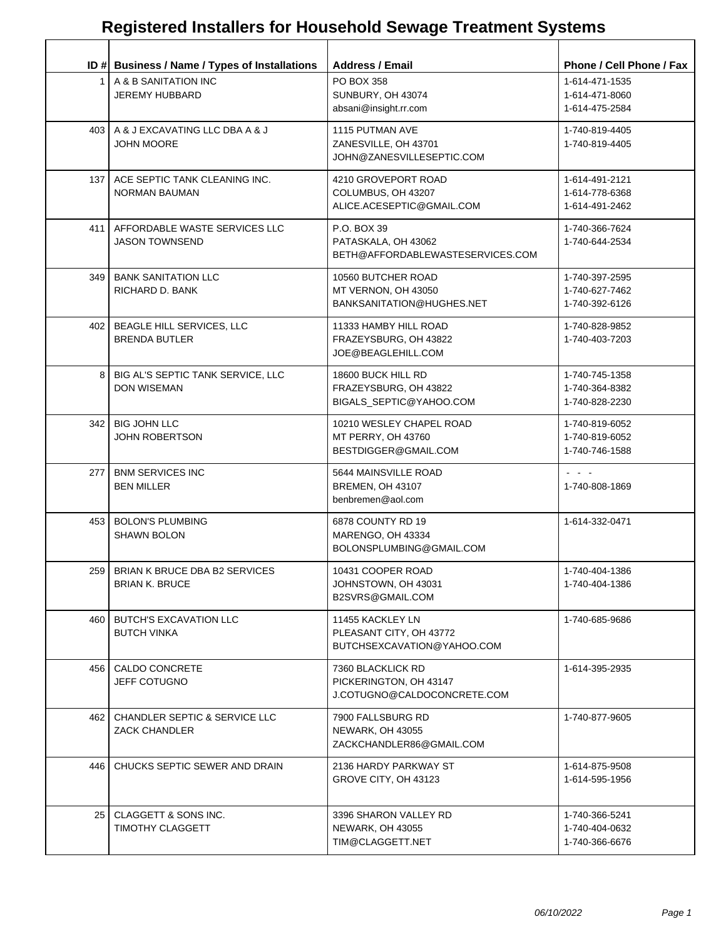|                  | ID # Business / Name / Types of Installations                    | <b>Address / Email</b>                                                     | Phone / Cell Phone / Fax                                                          |
|------------------|------------------------------------------------------------------|----------------------------------------------------------------------------|-----------------------------------------------------------------------------------|
| 1 <sup>1</sup>   | A & B SANITATION INC<br><b>JEREMY HUBBARD</b>                    | PO BOX 358<br>SUNBURY, OH 43074<br>absani@insight.rr.com                   | 1-614-471-1535<br>1-614-471-8060<br>1-614-475-2584                                |
|                  | 403   A & J EXCAVATING LLC DBA A & J<br><b>JOHN MOORE</b>        | 1115 PUTMAN AVE<br>ZANESVILLE, OH 43701<br>JOHN@ZANESVILLESEPTIC.COM       | 1-740-819-4405<br>1-740-819-4405                                                  |
| 137 <sub>1</sub> | ACE SEPTIC TANK CLEANING INC.<br>NORMAN BAUMAN                   | 4210 GROVEPORT ROAD<br>COLUMBUS, OH 43207<br>ALICE.ACESEPTIC@GMAIL.COM     | 1-614-491-2121<br>1-614-778-6368<br>1-614-491-2462                                |
| 411              | AFFORDABLE WASTE SERVICES LLC<br><b>JASON TOWNSEND</b>           | P.O. BOX 39<br>PATASKALA, OH 43062<br>BETH@AFFORDABLEWASTESERVICES.COM     | 1-740-366-7624<br>1-740-644-2534                                                  |
|                  | 349   BANK SANITATION LLC<br>RICHARD D. BANK                     | 10560 BUTCHER ROAD<br>MT VERNON, OH 43050<br>BANKSANITATION@HUGHES.NET     | 1-740-397-2595<br>1-740-627-7462<br>1-740-392-6126                                |
|                  | 402   BEAGLE HILL SERVICES, LLC<br><b>BRENDA BUTLER</b>          | 11333 HAMBY HILL ROAD<br>FRAZEYSBURG, OH 43822<br>JOE@BEAGLEHILL.COM       | 1-740-828-9852<br>1-740-403-7203                                                  |
|                  | 8   BIG AL'S SEPTIC TANK SERVICE, LLC<br><b>DON WISEMAN</b>      | 18600 BUCK HILL RD<br>FRAZEYSBURG, OH 43822<br>BIGALS_SEPTIC@YAHOO.COM     | 1-740-745-1358<br>1-740-364-8382<br>1-740-828-2230                                |
| 342              | <b>BIG JOHN LLC</b><br><b>JOHN ROBERTSON</b>                     | 10210 WESLEY CHAPEL ROAD<br>MT PERRY, OH 43760<br>BESTDIGGER@GMAIL.COM     | 1-740-819-6052<br>1-740-819-6052<br>1-740-746-1588                                |
| 277              | <b>BNM SERVICES INC</b><br><b>BEN MILLER</b>                     | 5644 MAINSVILLE ROAD<br>BREMEN, OH 43107<br>benbremen@aol.com              | $\omega_{\rm{eff}}$ , $\omega_{\rm{eff}}$ , $\omega_{\rm{eff}}$<br>1-740-808-1869 |
| 453              | <b>BOLON'S PLUMBING</b><br><b>SHAWN BOLON</b>                    | 6878 COUNTY RD 19<br>MARENGO, OH 43334<br>BOLONSPLUMBING@GMAIL.COM         | 1-614-332-0471                                                                    |
|                  | 259   BRIAN K BRUCE DBA B2 SERVICES<br>BRIAN K. BRUCE            | 10431 COOPER ROAD<br>JOHNSTOWN, OH 43031<br>B2SVRS@GMAIL.COM               | 1-740-404-1386<br>1-740-404-1386                                                  |
| 460              | <b>BUTCH'S EXCAVATION LLC</b><br><b>BUTCH VINKA</b>              | 11455 KACKLEY LN<br>PLEASANT CITY, OH 43772<br>BUTCHSEXCAVATION@YAHOO.COM  | 1-740-685-9686                                                                    |
| 456 I            | CALDO CONCRETE<br><b>JEFF COTUGNO</b>                            | 7360 BLACKLICK RD<br>PICKERINGTON, OH 43147<br>J.COTUGNO@CALDOCONCRETE.COM | 1-614-395-2935                                                                    |
| 462 I            | <b>CHANDLER SEPTIC &amp; SERVICE LLC</b><br><b>ZACK CHANDLER</b> | 7900 FALLSBURG RD<br>NEWARK, OH 43055<br>ZACKCHANDLER86@GMAIL.COM          | 1-740-877-9605                                                                    |
|                  | 446   CHUCKS SEPTIC SEWER AND DRAIN                              | 2136 HARDY PARKWAY ST<br>GROVE CITY, OH 43123                              | 1-614-875-9508<br>1-614-595-1956                                                  |
| 25 <sub>1</sub>  | CLAGGETT & SONS INC.<br><b>TIMOTHY CLAGGETT</b>                  | 3396 SHARON VALLEY RD<br>NEWARK, OH 43055<br>TIM@CLAGGETT.NET              | 1-740-366-5241<br>1-740-404-0632<br>1-740-366-6676                                |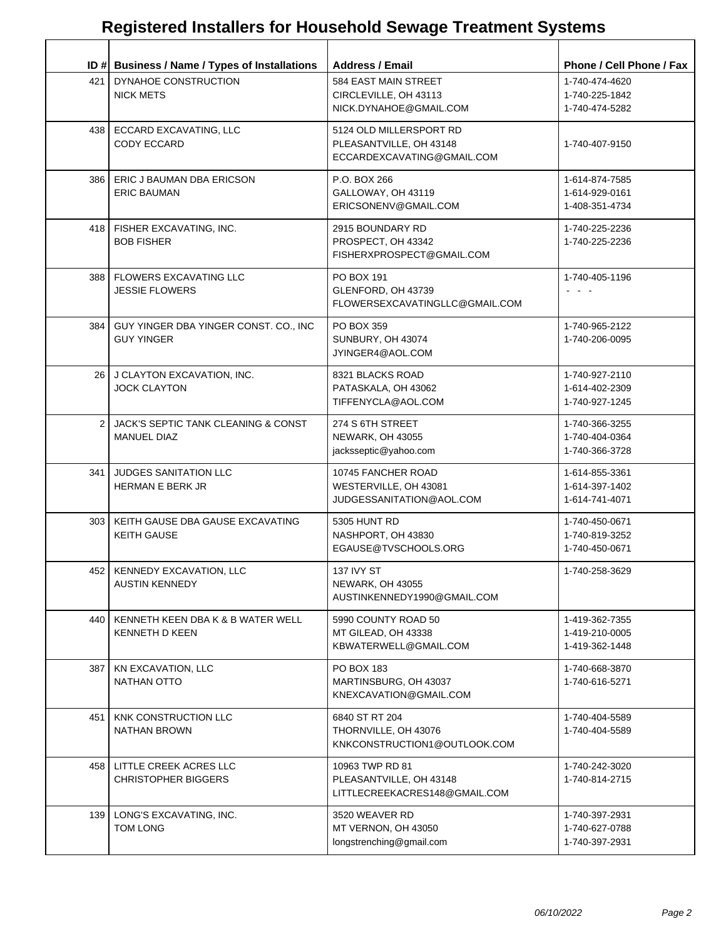|       | ID # Business / Name / Types of Installations                    | <b>Address / Email</b>                                                           | Phone / Cell Phone / Fax                           |
|-------|------------------------------------------------------------------|----------------------------------------------------------------------------------|----------------------------------------------------|
| 421   | DYNAHOE CONSTRUCTION<br><b>NICK METS</b>                         | 584 EAST MAIN STREET<br>CIRCLEVILLE, OH 43113<br>NICK.DYNAHOE@GMAIL.COM          | 1-740-474-4620<br>1-740-225-1842<br>1-740-474-5282 |
|       | 438   ECCARD EXCAVATING, LLC<br>CODY ECCARD                      | 5124 OLD MILLERSPORT RD<br>PLEASANTVILLE, OH 43148<br>ECCARDEXCAVATING@GMAIL.COM | 1-740-407-9150                                     |
|       | 386   ERIC J BAUMAN DBA ERICSON<br><b>ERIC BAUMAN</b>            | P.O. BOX 266<br>GALLOWAY, OH 43119<br>ERICSONENV@GMAIL.COM                       | 1-614-874-7585<br>1-614-929-0161<br>1-408-351-4734 |
|       | 418   FISHER EXCAVATING, INC.<br><b>BOB FISHER</b>               | 2915 BOUNDARY RD<br>PROSPECT, OH 43342<br>FISHERXPROSPECT@GMAIL.COM              | 1-740-225-2236<br>1-740-225-2236                   |
|       | 388   FLOWERS EXCAVATING LLC<br><b>JESSIE FLOWERS</b>            | PO BOX 191<br>GLENFORD, OH 43739<br>FLOWERSEXCAVATINGLLC@GMAIL.COM               | 1-740-405-1196<br>$\sim$ $-$                       |
|       | 384   GUY YINGER DBA YINGER CONST. CO., INC<br><b>GUY YINGER</b> | PO BOX 359<br>SUNBURY, OH 43074<br>JYINGER4@AOL.COM                              | 1-740-965-2122<br>1-740-206-0095                   |
|       | 26 J CLAYTON EXCAVATION, INC.<br><b>JOCK CLAYTON</b>             | 8321 BLACKS ROAD<br>PATASKALA, OH 43062<br>TIFFENYCLA@AOL.COM                    | 1-740-927-2110<br>1-614-402-2309<br>1-740-927-1245 |
|       | 2 JACK'S SEPTIC TANK CLEANING & CONST<br><b>MANUEL DIAZ</b>      | 274 S 6TH STREET<br>NEWARK, OH 43055<br>jacksseptic@yahoo.com                    | 1-740-366-3255<br>1-740-404-0364<br>1-740-366-3728 |
| 341   | JUDGES SANITATION LLC<br><b>HERMAN E BERK JR</b>                 | 10745 FANCHER ROAD<br>WESTERVILLE, OH 43081<br>JUDGESSANITATION@AOL.COM          | 1-614-855-3361<br>1-614-397-1402<br>1-614-741-4071 |
| 303 I | KEITH GAUSE DBA GAUSE EXCAVATING<br><b>KEITH GAUSE</b>           | 5305 HUNT RD<br>NASHPORT, OH 43830<br>EGAUSE@TVSCHOOLS.ORG                       | 1-740-450-0671<br>1-740-819-3252<br>1-740-450-0671 |
|       | 452   KENNEDY EXCAVATION, LLC<br><b>AUSTIN KENNEDY</b>           | <b>137 IVY ST</b><br><b>NEWARK, OH 43055</b><br>AUSTINKENNEDY1990@GMAIL.COM      | 1-740-258-3629                                     |
| 440   | KENNETH KEEN DBA K & B WATER WELL<br><b>KENNETH D KEEN</b>       | 5990 COUNTY ROAD 50<br>MT GILEAD, OH 43338<br>KBWATERWELL@GMAIL.COM              | 1-419-362-7355<br>1-419-210-0005<br>1-419-362-1448 |
| 387   | KN EXCAVATION, LLC<br><b>NATHAN OTTO</b>                         | PO BOX 183<br>MARTINSBURG, OH 43037<br>KNEXCAVATION@GMAIL.COM                    | 1-740-668-3870<br>1-740-616-5271                   |
| 451   | KNK CONSTRUCTION LLC<br>NATHAN BROWN                             | 6840 ST RT 204<br>THORNVILLE, OH 43076<br>KNKCONSTRUCTION1@OUTLOOK.COM           | 1-740-404-5589<br>1-740-404-5589                   |
|       | 458   LITTLE CREEK ACRES LLC<br><b>CHRISTOPHER BIGGERS</b>       | 10963 TWP RD 81<br>PLEASANTVILLE, OH 43148<br>LITTLECREEKACRES148@GMAIL.COM      | 1-740-242-3020<br>1-740-814-2715                   |
|       | 139   LONG'S EXCAVATING, INC.<br><b>TOM LONG</b>                 | 3520 WEAVER RD<br>MT VERNON, OH 43050<br>longstrenching@gmail.com                | 1-740-397-2931<br>1-740-627-0788<br>1-740-397-2931 |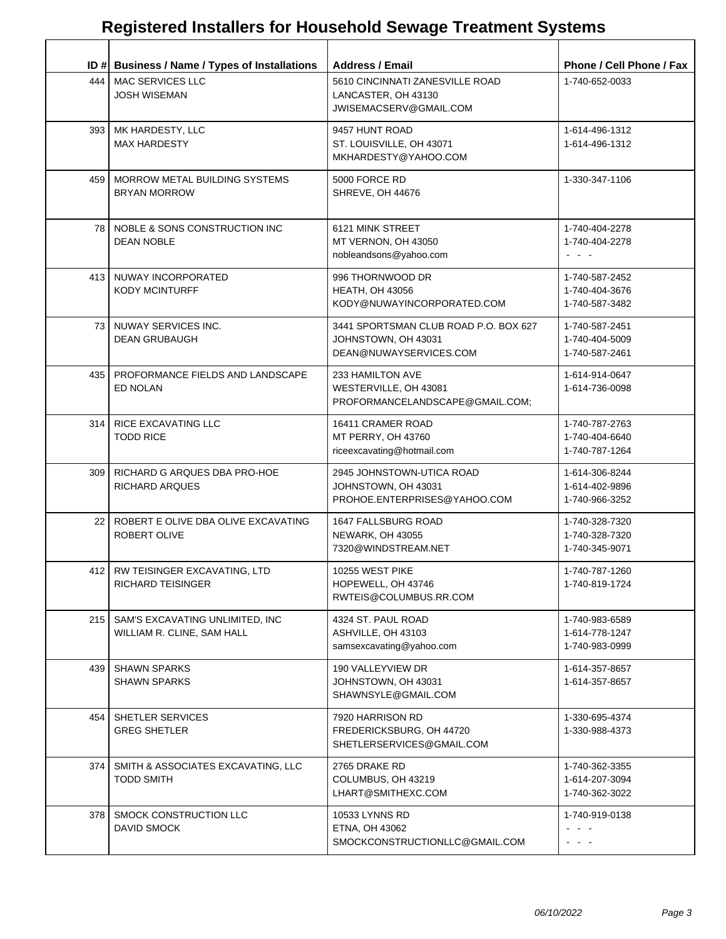|                  | ID # Business / Name / Types of Installations                       | <b>Address / Email</b>                                                                 | Phone / Cell Phone / Fax                                                                      |
|------------------|---------------------------------------------------------------------|----------------------------------------------------------------------------------------|-----------------------------------------------------------------------------------------------|
|                  | 444   MAC SERVICES LLC<br><b>JOSH WISEMAN</b>                       | 5610 CINCINNATI ZANESVILLE ROAD<br>LANCASTER, OH 43130<br>JWISEMACSERV@GMAIL.COM       | 1-740-652-0033                                                                                |
|                  | 393   MK HARDESTY, LLC<br><b>MAX HARDESTY</b>                       | 9457 HUNT ROAD<br>ST. LOUISVILLE, OH 43071<br>MKHARDESTY@YAHOO.COM                     | 1-614-496-1312<br>1-614-496-1312                                                              |
| 459              | MORROW METAL BUILDING SYSTEMS<br><b>BRYAN MORROW</b>                | 5000 FORCE RD<br>SHREVE, OH 44676                                                      | 1-330-347-1106                                                                                |
|                  | 78   NOBLE & SONS CONSTRUCTION INC<br><b>DEAN NOBLE</b>             | 6121 MINK STREET<br>MT VERNON, OH 43050<br>nobleandsons@yahoo.com                      | 1-740-404-2278<br>1-740-404-2278<br>$\omega_{\rm{c}}$ , $\omega_{\rm{c}}$ , $\omega_{\rm{c}}$ |
|                  | 413 NUWAY INCORPORATED<br><b>KODY MCINTURFF</b>                     | 996 THORNWOOD DR<br><b>HEATH, OH 43056</b><br>KODY@NUWAYINCORPORATED.COM               | 1-740-587-2452<br>1-740-404-3676<br>1-740-587-3482                                            |
|                  | 73   NUWAY SERVICES INC.<br><b>DEAN GRUBAUGH</b>                    | 3441 SPORTSMAN CLUB ROAD P.O. BOX 627<br>JOHNSTOWN, OH 43031<br>DEAN@NUWAYSERVICES.COM | 1-740-587-2451<br>1-740-404-5009<br>1-740-587-2461                                            |
|                  | 435 PROFORMANCE FIELDS AND LANDSCAPE<br>ED NOLAN                    | 233 HAMILTON AVE<br>WESTERVILLE, OH 43081<br>PROFORMANCELANDSCAPE@GMAIL.COM;           | 1-614-914-0647<br>1-614-736-0098                                                              |
|                  | 314   RICE EXCAVATING LLC<br><b>TODD RICE</b>                       | 16411 CRAMER ROAD<br>MT PERRY, OH 43760<br>riceexcavating@hotmail.com                  | 1-740-787-2763<br>1-740-404-6640<br>1-740-787-1264                                            |
| 309 <sup>1</sup> | RICHARD G ARQUES DBA PRO-HOE<br><b>RICHARD ARQUES</b>               | 2945 JOHNSTOWN-UTICA ROAD<br>JOHNSTOWN, OH 43031<br>PROHOE.ENTERPRISES@YAHOO.COM       | 1-614-306-8244<br>1-614-402-9896<br>1-740-966-3252                                            |
| 22               | ROBERT E OLIVE DBA OLIVE EXCAVATING<br>ROBERT OLIVE                 | 1647 FALLSBURG ROAD<br><b>NEWARK, OH 43055</b><br>7320@WINDSTREAM.NET                  | 1-740-328-7320<br>1-740-328-7320<br>1-740-345-9071                                            |
|                  | 412   RW TEISINGER EXCAVATING, LTD<br>RICHARD TEISINGER             | 10255 WEST PIKE<br>HOPEWELL, OH 43746<br>RWTEIS@COLUMBUS.RR.COM                        | 1-740-787-1260<br>1-740-819-1724                                                              |
|                  | 215   SAM'S EXCAVATING UNLIMITED, INC<br>WILLIAM R. CLINE, SAM HALL | 4324 ST. PAUL ROAD<br>ASHVILLE, OH 43103<br>samsexcavating@yahoo.com                   | 1-740-983-6589<br>1-614-778-1247<br>1-740-983-0999                                            |
| 439 I            | <b>SHAWN SPARKS</b><br><b>SHAWN SPARKS</b>                          | 190 VALLEYVIEW DR<br>JOHNSTOWN, OH 43031<br>SHAWNSYLE@GMAIL.COM                        | 1-614-357-8657<br>1-614-357-8657                                                              |
| 454              | SHETLER SERVICES<br><b>GREG SHETLER</b>                             | 7920 HARRISON RD<br>FREDERICKSBURG, OH 44720<br>SHETLERSERVICES@GMAIL.COM              | 1-330-695-4374<br>1-330-988-4373                                                              |
| 374 I            | SMITH & ASSOCIATES EXCAVATING, LLC<br><b>TODD SMITH</b>             | 2765 DRAKE RD<br>COLUMBUS, OH 43219<br>LHART@SMITHEXC.COM                              | 1-740-362-3355<br>1-614-207-3094<br>1-740-362-3022                                            |
| 378 I            | SMOCK CONSTRUCTION LLC<br>DAVID SMOCK                               | 10533 LYNNS RD<br>ETNA, OH 43062<br>SMOCKCONSTRUCTIONLLC@GMAIL.COM                     | 1-740-919-0138<br>$\sim$ 10 $\sim$ 10 $\sim$<br>$\sim$ 100 $\pm$                              |